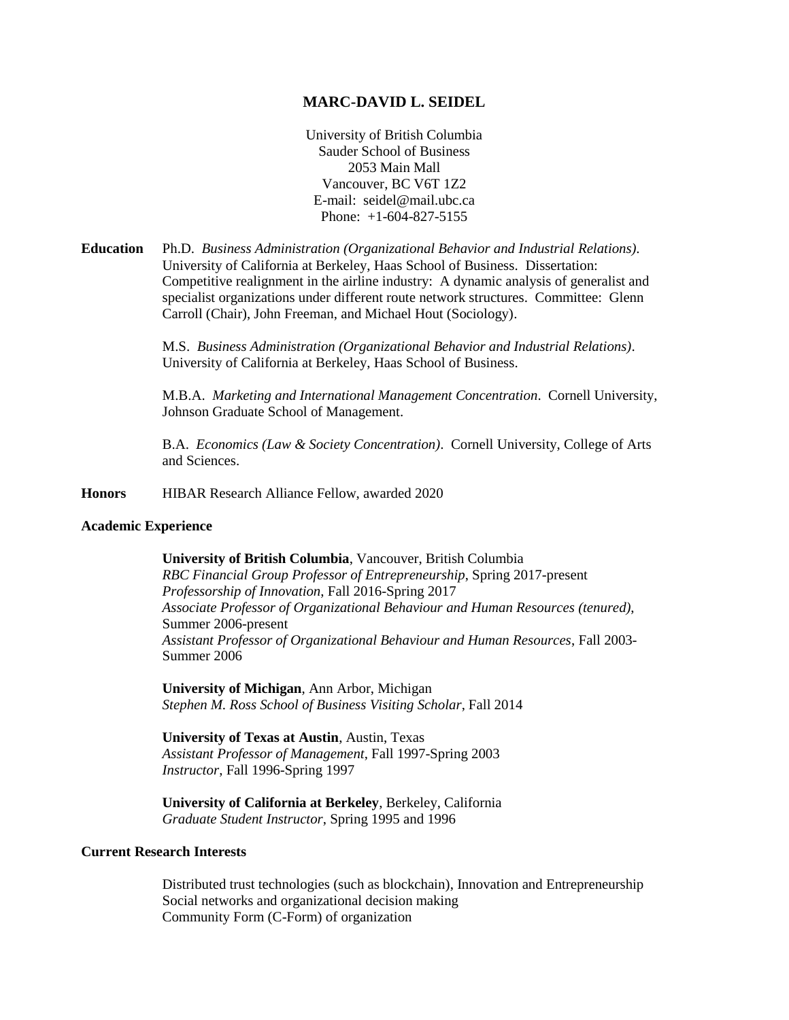## **MARC-DAVID L. SEIDEL**

University of British Columbia Sauder School of Business 2053 Main Mall Vancouver, BC V6T 1Z2 E-mail: seidel@mail.ubc.ca Phone: +1-604-827-5155

**Education** Ph.D. *Business Administration (Organizational Behavior and Industrial Relations)*. University of California at Berkeley, Haas School of Business. Dissertation: Competitive realignment in the airline industry: A dynamic analysis of generalist and specialist organizations under different route network structures. Committee: Glenn Carroll (Chair), John Freeman, and Michael Hout (Sociology).

> M.S. *Business Administration (Organizational Behavior and Industrial Relations)*. University of California at Berkeley, Haas School of Business.

M.B.A. *Marketing and International Management Concentration*. Cornell University, Johnson Graduate School of Management.

B.A. *Economics (Law & Society Concentration)*. Cornell University, College of Arts and Sciences.

**Honors** HIBAR Research Alliance Fellow, awarded 2020

#### **Academic Experience**

**University of British Columbia**, Vancouver, British Columbia *RBC Financial Group Professor of Entrepreneurship*, Spring 2017-present *Professorship of Innovation*, Fall 2016-Spring 2017 *Associate Professor of Organizational Behaviour and Human Resources (tenured)*, Summer 2006-present *Assistant Professor of Organizational Behaviour and Human Resources*, Fall 2003- Summer 2006

**University of Michigan**, Ann Arbor, Michigan *Stephen M. Ross School of Business Visiting Scholar*, Fall 2014

**University of Texas at Austin**, Austin, Texas *Assistant Professor of Management*, Fall 1997-Spring 2003 *Instructor*, Fall 1996-Spring 1997

**University of California at Berkeley**, Berkeley, California *Graduate Student Instructor*, Spring 1995 and 1996

## **Current Research Interests**

Distributed trust technologies (such as blockchain), Innovation and Entrepreneurship Social networks and organizational decision making Community Form (C-Form) of organization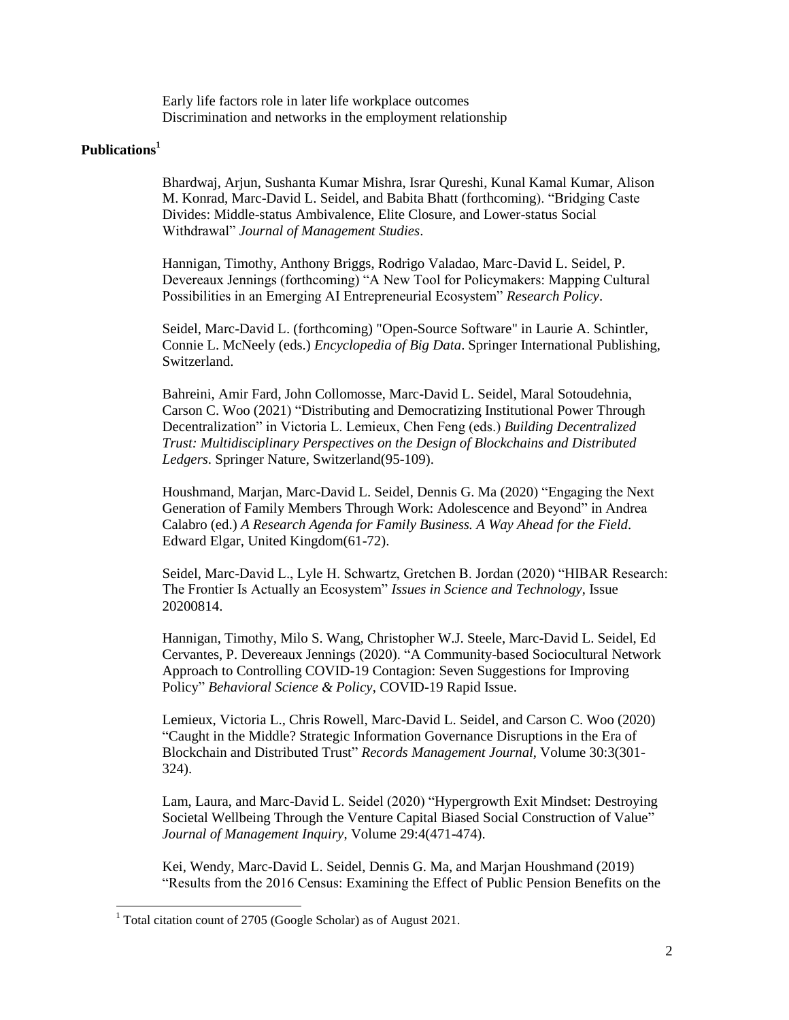Early life factors role in later life workplace outcomes Discrimination and networks in the employment relationship

# **Publications<sup>1</sup>**

÷,

Bhardwaj, Arjun, Sushanta Kumar Mishra, Israr Qureshi, Kunal Kamal Kumar, Alison M. Konrad, Marc-David L. Seidel, and Babita Bhatt (forthcoming). "Bridging Caste Divides: Middle-status Ambivalence, Elite Closure, and Lower-status Social Withdrawal" *Journal of Management Studies*.

Hannigan, Timothy, Anthony Briggs, Rodrigo Valadao, Marc-David L. Seidel, P. Devereaux Jennings (forthcoming) "A New Tool for Policymakers: Mapping Cultural Possibilities in an Emerging AI Entrepreneurial Ecosystem" *Research Policy*.

Seidel, Marc-David L. (forthcoming) "Open-Source Software" in Laurie A. Schintler, Connie L. McNeely (eds.) *Encyclopedia of Big Data*. Springer International Publishing, Switzerland.

Bahreini, Amir Fard, John Collomosse, Marc-David L. Seidel, Maral Sotoudehnia, Carson C. Woo (2021) "Distributing and Democratizing Institutional Power Through Decentralization" in Victoria L. Lemieux, Chen Feng (eds.) *Building Decentralized Trust: Multidisciplinary Perspectives on the Design of Blockchains and Distributed Ledgers*. Springer Nature, Switzerland(95-109).

Houshmand, Marjan, Marc-David L. Seidel, Dennis G. Ma (2020) "Engaging the Next Generation of Family Members Through Work: Adolescence and Beyond" in Andrea Calabro (ed.) *A Research Agenda for Family Business. A Way Ahead for the Field*. Edward Elgar, United Kingdom(61-72).

Seidel, Marc-David L., Lyle H. Schwartz, Gretchen B. Jordan (2020) "HIBAR Research: The Frontier Is Actually an Ecosystem" *Issues in Science and Technology*, Issue 20200814.

Hannigan, Timothy, Milo S. Wang, Christopher W.J. Steele, Marc-David L. Seidel, Ed Cervantes, P. Devereaux Jennings (2020). "A Community-based Sociocultural Network Approach to Controlling COVID-19 Contagion: Seven Suggestions for Improving Policy" *Behavioral Science & Policy*, COVID-19 Rapid Issue.

Lemieux, Victoria L., Chris Rowell, Marc-David L. Seidel, and Carson C. Woo (2020) "Caught in the Middle? Strategic Information Governance Disruptions in the Era of Blockchain and Distributed Trust" *Records Management Journal*, Volume 30:3(301- 324).

Lam, Laura, and Marc-David L. Seidel (2020) "Hypergrowth Exit Mindset: Destroying Societal Wellbeing Through the Venture Capital Biased Social Construction of Value" *Journal of Management Inquiry*, Volume 29:4(471-474).

Kei, Wendy, Marc-David L. Seidel, Dennis G. Ma, and Marjan Houshmand (2019) "Results from the 2016 Census: Examining the Effect of Public Pension Benefits on the

<sup>1</sup> Total citation count of 2705 (Google Scholar) as of August 2021.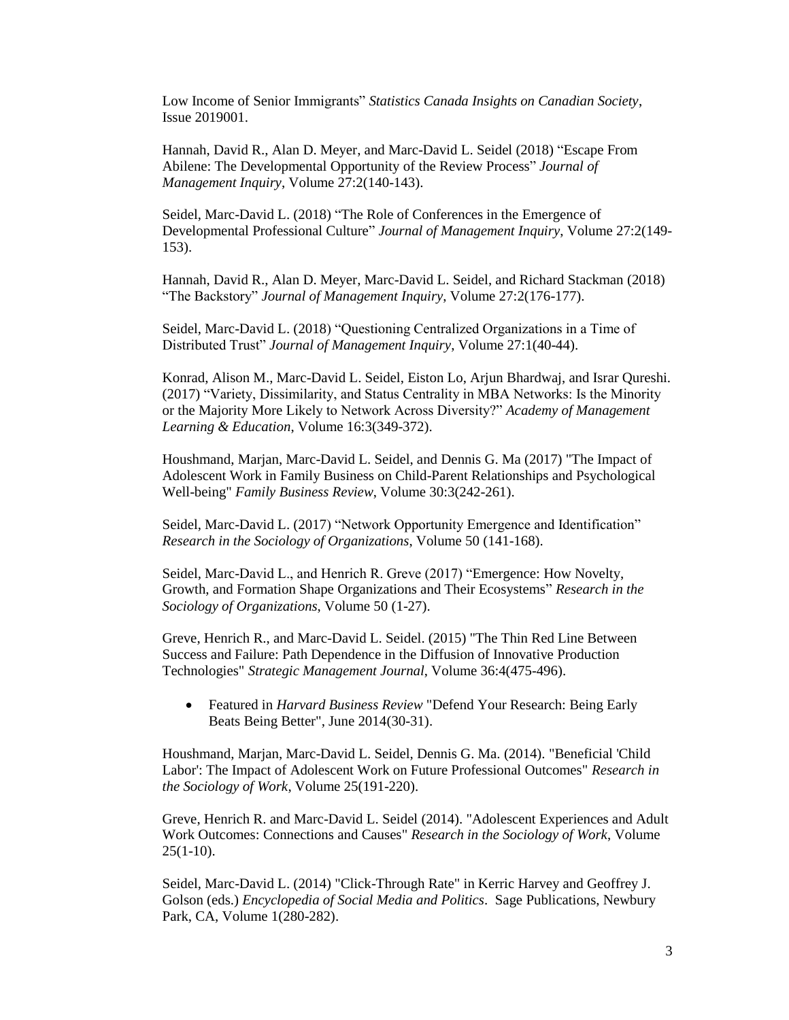Low Income of Senior Immigrants" *Statistics Canada Insights on Canadian Society*, Issue 2019001.

Hannah, David R., Alan D. Meyer, and Marc-David L. Seidel (2018) "Escape From Abilene: The Developmental Opportunity of the Review Process" *Journal of Management Inquiry*, Volume 27:2(140-143).

Seidel, Marc-David L. (2018) "The Role of Conferences in the Emergence of Developmental Professional Culture" *Journal of Management Inquiry*, Volume 27:2(149- 153).

Hannah, David R., Alan D. Meyer, Marc-David L. Seidel, and Richard Stackman (2018) "The Backstory" *Journal of Management Inquiry*, Volume 27:2(176-177).

Seidel, Marc-David L. (2018) "Questioning Centralized Organizations in a Time of Distributed Trust" *Journal of Management Inquiry*, Volume 27:1(40-44).

Konrad, Alison M., Marc-David L. Seidel, Eiston Lo, Arjun Bhardwaj, and Israr Qureshi. (2017) "Variety, Dissimilarity, and Status Centrality in MBA Networks: Is the Minority or the Majority More Likely to Network Across Diversity?" *Academy of Management Learning & Education*, Volume 16:3(349-372).

Houshmand, Marjan, Marc-David L. Seidel, and Dennis G. Ma (2017) "The Impact of Adolescent Work in Family Business on Child-Parent Relationships and Psychological Well-being" *Family Business Review*, Volume 30:3(242-261).

Seidel, Marc-David L. (2017) "Network Opportunity Emergence and Identification" *Research in the Sociology of Organizations*, Volume 50 (141-168).

Seidel, Marc-David L., and Henrich R. Greve (2017) "Emergence: How Novelty, Growth, and Formation Shape Organizations and Their Ecosystems" *Research in the Sociology of Organizations*, Volume 50 (1-27).

Greve, Henrich R., and Marc-David L. Seidel. (2015) "The Thin Red Line Between Success and Failure: Path Dependence in the Diffusion of Innovative Production Technologies" *Strategic Management Journal*, Volume 36:4(475-496).

 Featured in *Harvard Business Review* "Defend Your Research: Being Early Beats Being Better", June 2014(30-31).

Houshmand, Marjan, Marc-David L. Seidel, Dennis G. Ma. (2014). "Beneficial 'Child Labor': The Impact of Adolescent Work on Future Professional Outcomes" *Research in the Sociology of Work*, Volume 25(191-220).

Greve, Henrich R. and Marc-David L. Seidel (2014). "Adolescent Experiences and Adult Work Outcomes: Connections and Causes" *Research in the Sociology of Work*, Volume  $25(1-10)$ .

Seidel, Marc-David L. (2014) "Click-Through Rate" in Kerric Harvey and Geoffrey J. Golson (eds.) *Encyclopedia of Social Media and Politics*. Sage Publications, Newbury Park, CA, Volume 1(280-282).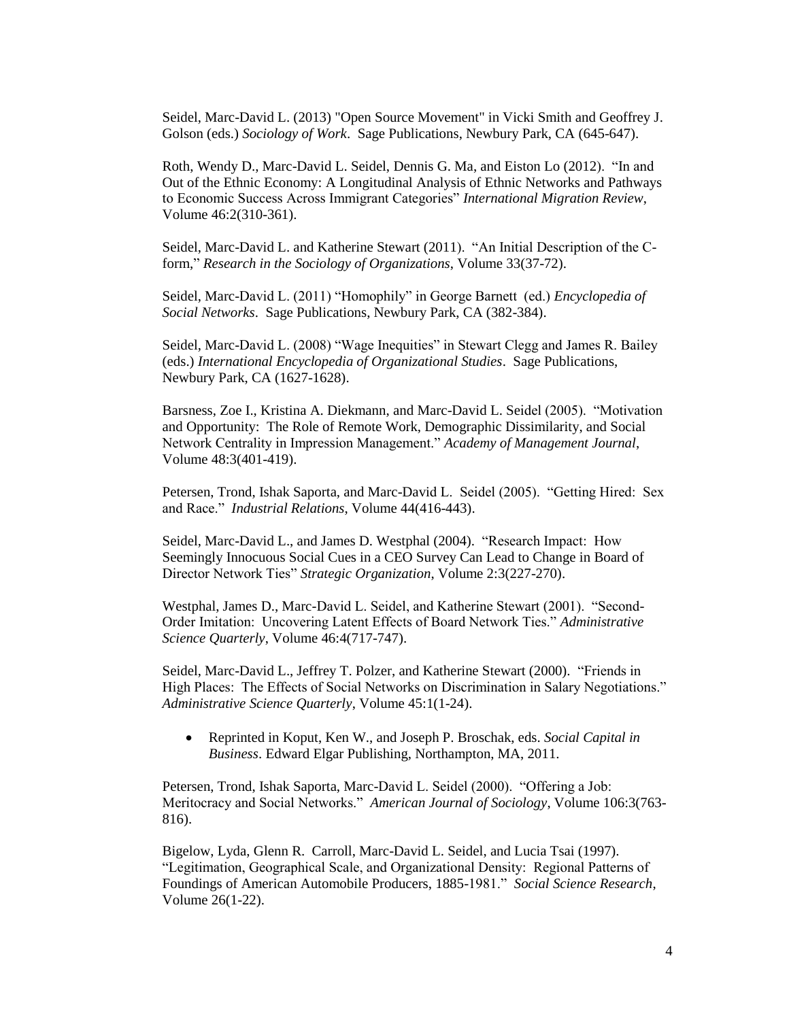Seidel, Marc-David L. (2013) "Open Source Movement" in Vicki Smith and Geoffrey J. Golson (eds.) *Sociology of Work*. Sage Publications, Newbury Park, CA (645-647).

Roth, Wendy D., Marc-David L. Seidel, Dennis G. Ma, and Eiston Lo (2012). "In and Out of the Ethnic Economy: A Longitudinal Analysis of Ethnic Networks and Pathways to Economic Success Across Immigrant Categories" *International Migration Review*, Volume 46:2(310-361).

Seidel, Marc-David L. and Katherine Stewart (2011). "An Initial Description of the Cform," *Research in the Sociology of Organizations*, Volume 33(37-72).

Seidel, Marc-David L. (2011) "Homophily" in George Barnett (ed.) *Encyclopedia of Social Networks*. Sage Publications, Newbury Park, CA (382-384).

Seidel, Marc-David L. (2008) "Wage Inequities" in Stewart Clegg and James R. Bailey (eds.) *International Encyclopedia of Organizational Studies*. Sage Publications, Newbury Park, CA (1627-1628).

Barsness, Zoe I., Kristina A. Diekmann, and Marc-David L. Seidel (2005). "Motivation and Opportunity: The Role of Remote Work, Demographic Dissimilarity, and Social Network Centrality in Impression Management." *Academy of Management Journal*, Volume 48:3(401-419).

Petersen, Trond, Ishak Saporta, and Marc-David L. Seidel (2005). "Getting Hired: Sex and Race." *Industrial Relations*, Volume 44(416-443).

Seidel, Marc-David L., and James D. Westphal (2004). "Research Impact: How Seemingly Innocuous Social Cues in a CEO Survey Can Lead to Change in Board of Director Network Ties" *Strategic Organization*, Volume 2:3(227-270).

Westphal, James D., Marc-David L. Seidel, and Katherine Stewart (2001). "Second-Order Imitation: Uncovering Latent Effects of Board Network Ties." *Administrative Science Quarterly*, Volume 46:4(717-747).

Seidel, Marc-David L., Jeffrey T. Polzer, and Katherine Stewart (2000). "Friends in High Places: The Effects of Social Networks on Discrimination in Salary Negotiations." *Administrative Science Quarterly*, Volume 45:1(1-24).

 Reprinted in Koput, Ken W., and Joseph P. Broschak, eds. *Social Capital in Business*. Edward Elgar Publishing, Northampton, MA, 2011.

Petersen, Trond, Ishak Saporta, Marc-David L. Seidel (2000). "Offering a Job: Meritocracy and Social Networks." *American Journal of Sociology*, Volume 106:3(763- 816).

Bigelow, Lyda, Glenn R. Carroll, Marc-David L. Seidel, and Lucia Tsai (1997). "Legitimation, Geographical Scale, and Organizational Density: Regional Patterns of Foundings of American Automobile Producers, 1885-1981." *Social Science Research*, Volume 26(1-22).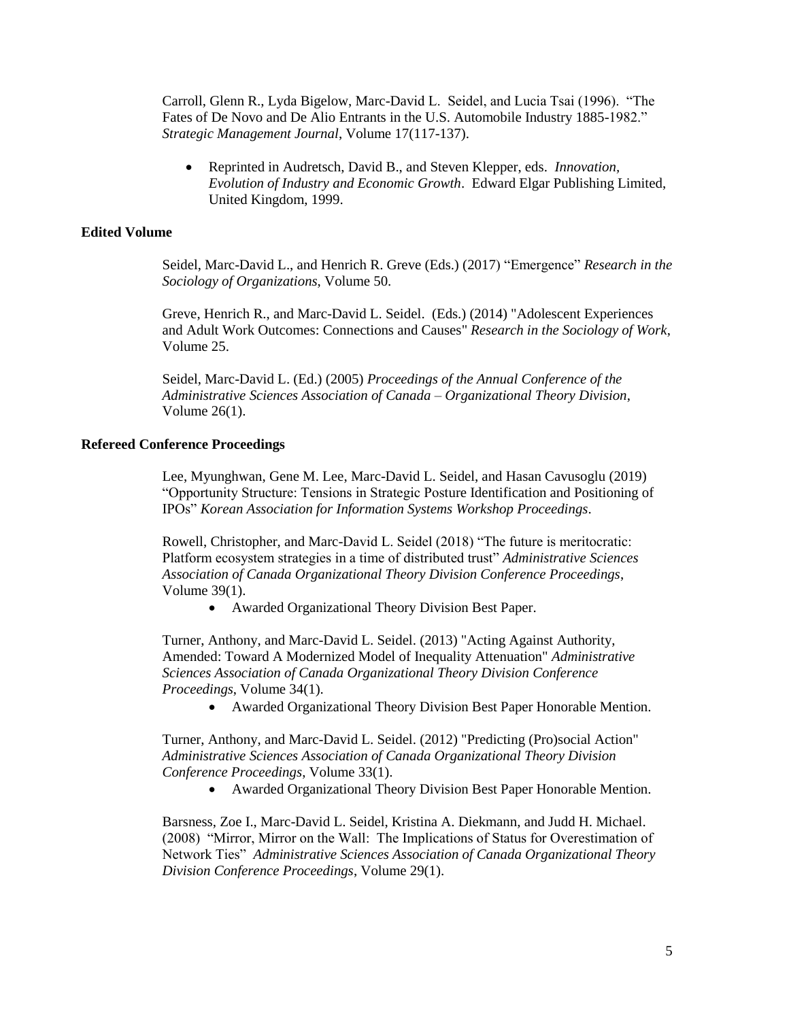Carroll, Glenn R., Lyda Bigelow, Marc-David L. Seidel, and Lucia Tsai (1996). "The Fates of De Novo and De Alio Entrants in the U.S. Automobile Industry 1885-1982." *Strategic Management Journal*, Volume 17(117-137).

 Reprinted in Audretsch, David B., and Steven Klepper, eds. *Innovation, Evolution of Industry and Economic Growth*. Edward Elgar Publishing Limited, United Kingdom, 1999.

## **Edited Volume**

Seidel, Marc-David L., and Henrich R. Greve (Eds.) (2017) "Emergence" *Research in the Sociology of Organizations*, Volume 50.

Greve, Henrich R., and Marc-David L. Seidel. (Eds.) (2014) "Adolescent Experiences and Adult Work Outcomes: Connections and Causes" *Research in the Sociology of Work*, Volume 25.

Seidel, Marc-David L. (Ed.) (2005) *Proceedings of the Annual Conference of the Administrative Sciences Association of Canada – Organizational Theory Division*, Volume 26(1).

### **Refereed Conference Proceedings**

Lee, Myunghwan, Gene M. Lee, Marc-David L. Seidel, and Hasan Cavusoglu (2019) "Opportunity Structure: Tensions in Strategic Posture Identification and Positioning of IPOs" *Korean Association for Information Systems Workshop Proceedings*.

Rowell, Christopher, and Marc-David L. Seidel (2018) "The future is meritocratic: Platform ecosystem strategies in a time of distributed trust" *Administrative Sciences Association of Canada Organizational Theory Division Conference Proceedings*, Volume 39(1).

Awarded Organizational Theory Division Best Paper.

Turner, Anthony, and Marc-David L. Seidel. (2013) "Acting Against Authority, Amended: Toward A Modernized Model of Inequality Attenuation" *Administrative Sciences Association of Canada Organizational Theory Division Conference Proceedings*, Volume 34(1).

Awarded Organizational Theory Division Best Paper Honorable Mention.

Turner, Anthony, and Marc-David L. Seidel. (2012) "Predicting (Pro)social Action" *Administrative Sciences Association of Canada Organizational Theory Division Conference Proceedings*, Volume 33(1).

Awarded Organizational Theory Division Best Paper Honorable Mention.

Barsness, Zoe I., Marc-David L. Seidel, Kristina A. Diekmann, and Judd H. Michael. (2008) "Mirror, Mirror on the Wall: The Implications of Status for Overestimation of Network Ties" *Administrative Sciences Association of Canada Organizational Theory Division Conference Proceedings*, Volume 29(1).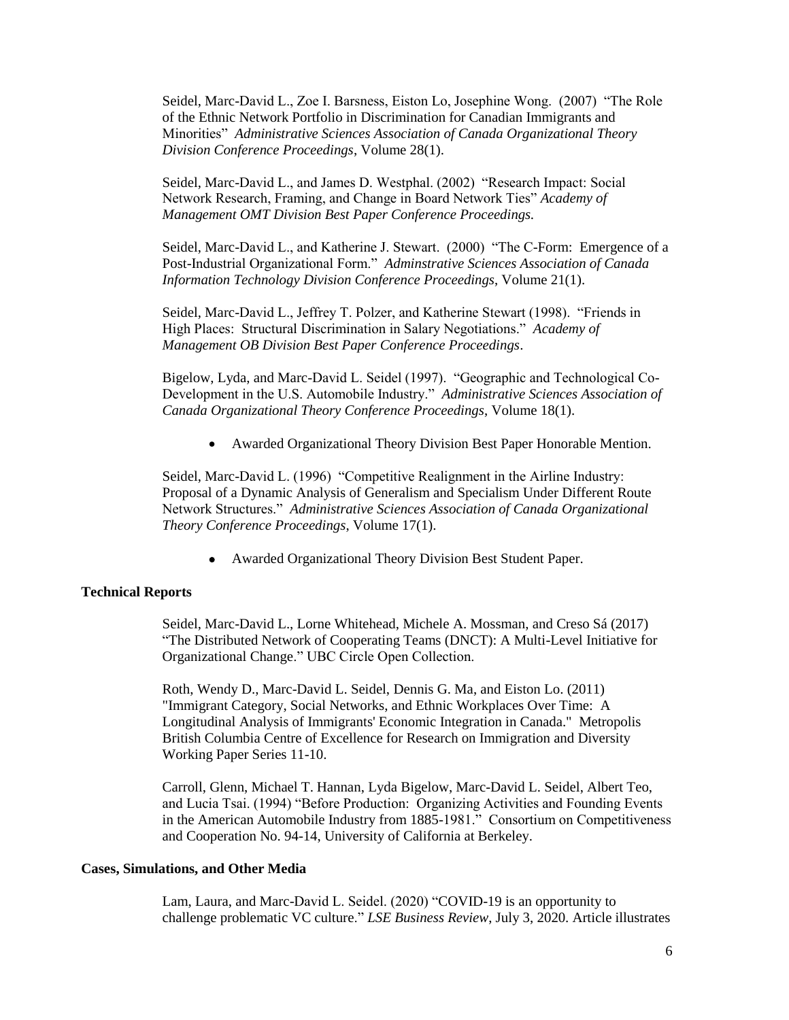Seidel, Marc-David L., Zoe I. Barsness, Eiston Lo, Josephine Wong. (2007) "The Role of the Ethnic Network Portfolio in Discrimination for Canadian Immigrants and Minorities" *Administrative Sciences Association of Canada Organizational Theory Division Conference Proceedings*, Volume 28(1).

Seidel, Marc-David L., and James D. Westphal. (2002) "Research Impact: Social Network Research, Framing, and Change in Board Network Ties" *Academy of Management OMT Division Best Paper Conference Proceedings.*

Seidel, Marc-David L., and Katherine J. Stewart. (2000) "The C-Form: Emergence of a Post-Industrial Organizational Form." *Adminstrative Sciences Association of Canada Information Technology Division Conference Proceedings*, Volume 21(1).

Seidel, Marc-David L., Jeffrey T. Polzer, and Katherine Stewart (1998). "Friends in High Places: Structural Discrimination in Salary Negotiations." *Academy of Management OB Division Best Paper Conference Proceedings*.

Bigelow, Lyda, and Marc-David L. Seidel (1997). "Geographic and Technological Co-Development in the U.S. Automobile Industry." *Administrative Sciences Association of Canada Organizational Theory Conference Proceedings*, Volume 18(1).

Awarded Organizational Theory Division Best Paper Honorable Mention.

Seidel, Marc-David L. (1996) "Competitive Realignment in the Airline Industry: Proposal of a Dynamic Analysis of Generalism and Specialism Under Different Route Network Structures." *Administrative Sciences Association of Canada Organizational Theory Conference Proceedings*, Volume 17(1).

Awarded Organizational Theory Division Best Student Paper.

## **Technical Reports**

Seidel, Marc-David L., Lorne Whitehead, Michele A. Mossman, and Creso Sá (2017) "The Distributed Network of Cooperating Teams (DNCT): A Multi-Level Initiative for Organizational Change." UBC Circle Open Collection.

Roth, Wendy D., Marc-David L. Seidel, Dennis G. Ma, and Eiston Lo. (2011) "Immigrant Category, Social Networks, and Ethnic Workplaces Over Time: A Longitudinal Analysis of Immigrants' Economic Integration in Canada." Metropolis British Columbia Centre of Excellence for Research on Immigration and Diversity Working Paper Series 11-10.

Carroll, Glenn, Michael T. Hannan, Lyda Bigelow, Marc-David L. Seidel, Albert Teo, and Lucia Tsai. (1994) "Before Production: Organizing Activities and Founding Events in the American Automobile Industry from 1885-1981." Consortium on Competitiveness and Cooperation No. 94-14, University of California at Berkeley.

#### **Cases, Simulations, and Other Media**

Lam, Laura, and Marc-David L. Seidel. (2020) "COVID-19 is an opportunity to challenge problematic VC culture." *LSE Business Review*, July 3, 2020. Article illustrates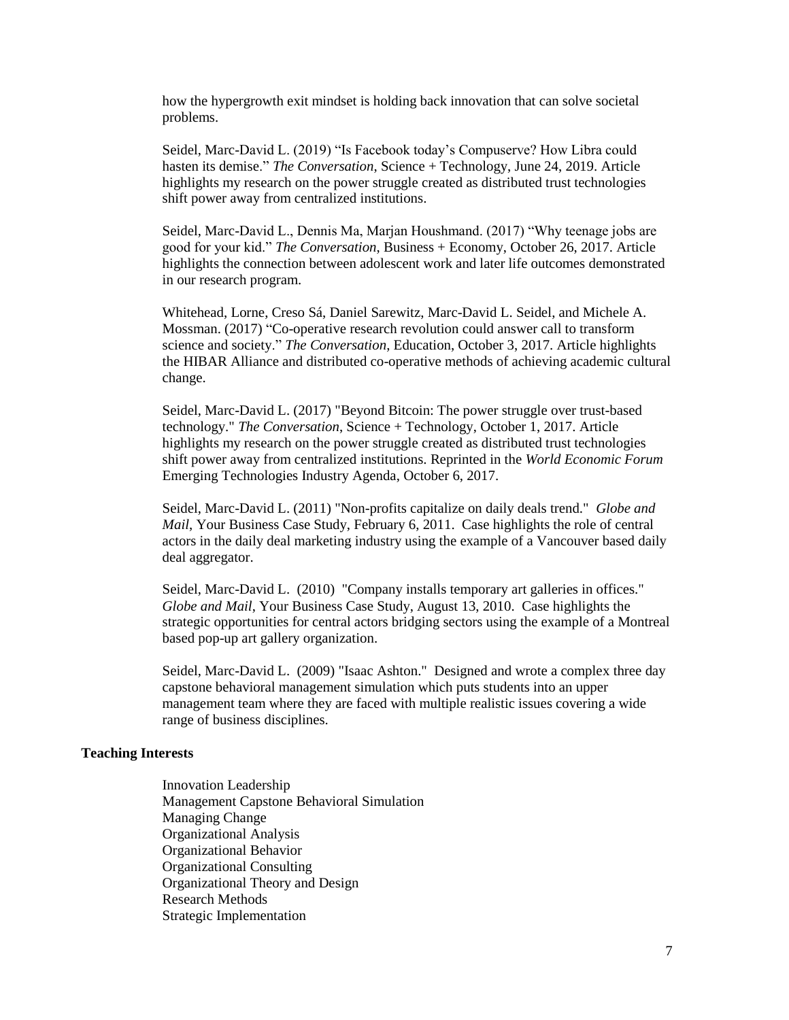how the hypergrowth exit mindset is holding back innovation that can solve societal problems.

Seidel, Marc-David L. (2019) "Is Facebook today's Compuserve? How Libra could hasten its demise." *The Conversation*, Science + Technology, June 24, 2019. Article highlights my research on the power struggle created as distributed trust technologies shift power away from centralized institutions.

Seidel, Marc-David L., Dennis Ma, Marjan Houshmand. (2017) "Why teenage jobs are good for your kid." *The Conversation*, Business + Economy, October 26, 2017. Article highlights the connection between adolescent work and later life outcomes demonstrated in our research program.

Whitehead, Lorne, Creso Sá, Daniel Sarewitz, Marc-David L. Seidel, and Michele A. Mossman. (2017) "Co-operative research revolution could answer call to transform science and society." *The Conversation*, Education, October 3, 2017. Article highlights the HIBAR Alliance and distributed co-operative methods of achieving academic cultural change.

Seidel, Marc-David L. (2017) "Beyond Bitcoin: The power struggle over trust-based technology." *The Conversation*, Science + Technology, October 1, 2017. Article highlights my research on the power struggle created as distributed trust technologies shift power away from centralized institutions. Reprinted in the *World Economic Forum*  Emerging Technologies Industry Agenda, October 6, 2017.

Seidel, Marc-David L. (2011) "Non-profits capitalize on daily deals trend." *Globe and Mail*, Your Business Case Study, February 6, 2011. Case highlights the role of central actors in the daily deal marketing industry using the example of a Vancouver based daily deal aggregator.

Seidel, Marc-David L. (2010) "Company installs temporary art galleries in offices." *Globe and Mail*, Your Business Case Study, August 13, 2010. Case highlights the strategic opportunities for central actors bridging sectors using the example of a Montreal based pop-up art gallery organization.

Seidel, Marc-David L. (2009) "Isaac Ashton." Designed and wrote a complex three day capstone behavioral management simulation which puts students into an upper management team where they are faced with multiple realistic issues covering a wide range of business disciplines.

### **Teaching Interests**

Innovation Leadership Management Capstone Behavioral Simulation Managing Change Organizational Analysis Organizational Behavior Organizational Consulting Organizational Theory and Design Research Methods Strategic Implementation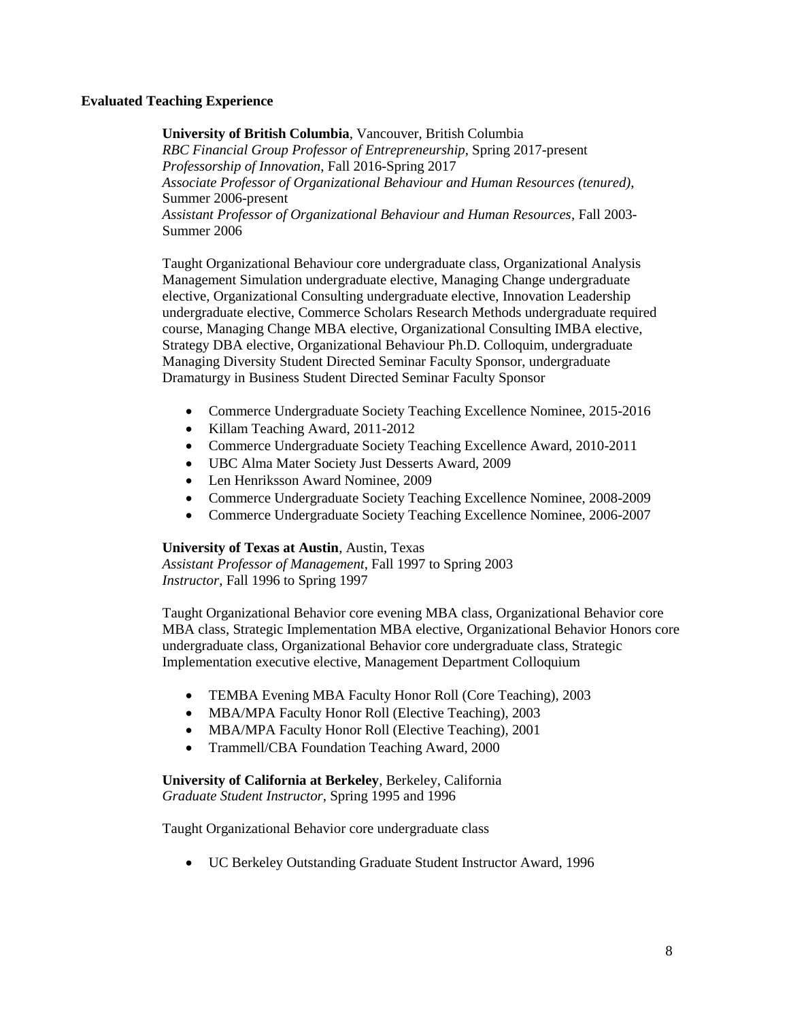## **Evaluated Teaching Experience**

**University of British Columbia**, Vancouver, British Columbia *RBC Financial Group Professor of Entrepreneurship*, Spring 2017-present *Professorship of Innovation*, Fall 2016-Spring 2017 *Associate Professor of Organizational Behaviour and Human Resources (tenured)*, Summer 2006-present *Assistant Professor of Organizational Behaviour and Human Resources*, Fall 2003- Summer 2006

Taught Organizational Behaviour core undergraduate class, Organizational Analysis Management Simulation undergraduate elective, Managing Change undergraduate elective, Organizational Consulting undergraduate elective, Innovation Leadership undergraduate elective, Commerce Scholars Research Methods undergraduate required course, Managing Change MBA elective, Organizational Consulting IMBA elective, Strategy DBA elective, Organizational Behaviour Ph.D. Colloquim, undergraduate Managing Diversity Student Directed Seminar Faculty Sponsor, undergraduate Dramaturgy in Business Student Directed Seminar Faculty Sponsor

- Commerce Undergraduate Society Teaching Excellence Nominee, 2015-2016
- Killam Teaching Award, 2011-2012
- Commerce Undergraduate Society Teaching Excellence Award, 2010-2011
- UBC Alma Mater Society Just Desserts Award, 2009
- Len Henriksson Award Nominee, 2009
- Commerce Undergraduate Society Teaching Excellence Nominee, 2008-2009
- Commerce Undergraduate Society Teaching Excellence Nominee, 2006-2007

## **University of Texas at Austin**, Austin, Texas

*Assistant Professor of Management*, Fall 1997 to Spring 2003 *Instructor*, Fall 1996 to Spring 1997

Taught Organizational Behavior core evening MBA class, Organizational Behavior core MBA class, Strategic Implementation MBA elective, Organizational Behavior Honors core undergraduate class, Organizational Behavior core undergraduate class, Strategic Implementation executive elective, Management Department Colloquium

- TEMBA Evening MBA Faculty Honor Roll (Core Teaching), 2003
- MBA/MPA Faculty Honor Roll (Elective Teaching), 2003
- MBA/MPA Faculty Honor Roll (Elective Teaching), 2001
- Trammell/CBA Foundation Teaching Award, 2000

**University of California at Berkeley**, Berkeley, California *Graduate Student Instructor*, Spring 1995 and 1996

Taught Organizational Behavior core undergraduate class

UC Berkeley Outstanding Graduate Student Instructor Award, 1996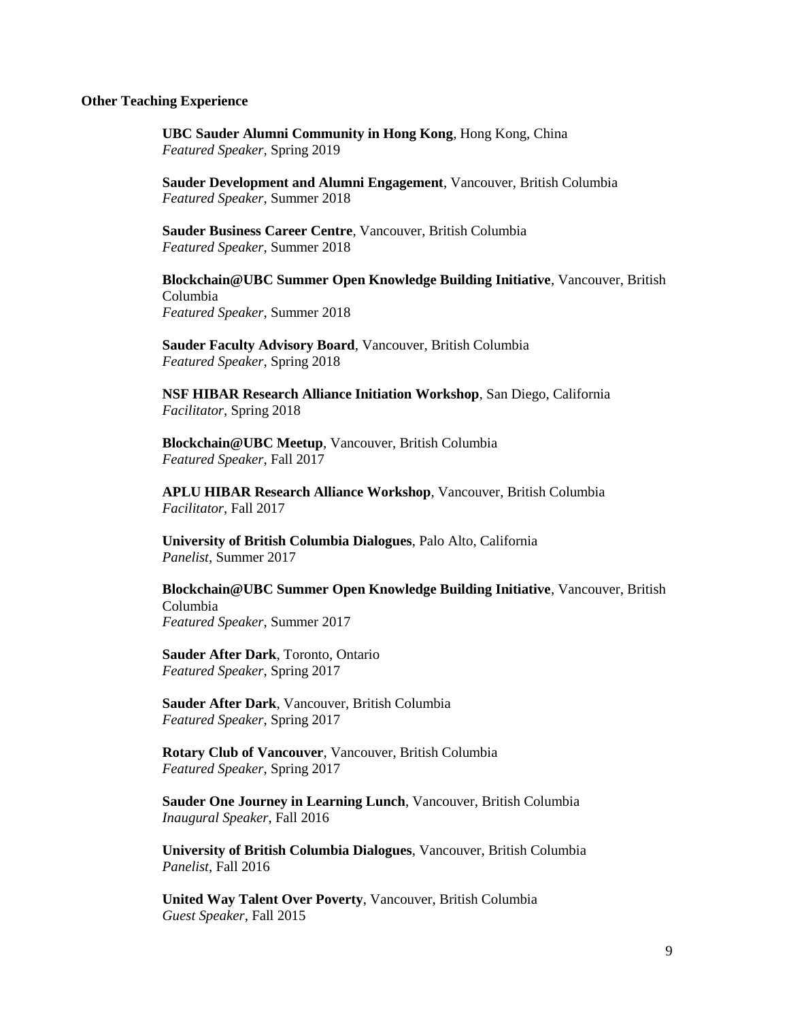#### **Other Teaching Experience**

**UBC Sauder Alumni Community in Hong Kong**, Hong Kong, China *Featured Speaker*, Spring 2019

**Sauder Development and Alumni Engagement**, Vancouver, British Columbia *Featured Speaker*, Summer 2018

**Sauder Business Career Centre**, Vancouver, British Columbia *Featured Speaker*, Summer 2018

**Blockchain@UBC Summer Open Knowledge Building Initiative**, Vancouver, British Columbia *Featured Speaker*, Summer 2018

**Sauder Faculty Advisory Board**, Vancouver, British Columbia *Featured Speaker*, Spring 2018

**NSF HIBAR Research Alliance Initiation Workshop**, San Diego, California *Facilitator*, Spring 2018

**Blockchain@UBC Meetup**, Vancouver, British Columbia *Featured Speaker*, Fall 2017

**APLU HIBAR Research Alliance Workshop**, Vancouver, British Columbia *Facilitator*, Fall 2017

**University of British Columbia Dialogues**, Palo Alto, California *Panelist*, Summer 2017

**Blockchain@UBC Summer Open Knowledge Building Initiative**, Vancouver, British Columbia *Featured Speaker*, Summer 2017

**Sauder After Dark**, Toronto, Ontario *Featured Speaker*, Spring 2017

**Sauder After Dark**, Vancouver, British Columbia *Featured Speaker*, Spring 2017

**Rotary Club of Vancouver**, Vancouver, British Columbia *Featured Speaker*, Spring 2017

**Sauder One Journey in Learning Lunch**, Vancouver, British Columbia *Inaugural Speaker*, Fall 2016

**University of British Columbia Dialogues**, Vancouver, British Columbia *Panelist*, Fall 2016

**United Way Talent Over Poverty**, Vancouver, British Columbia *Guest Speaker*, Fall 2015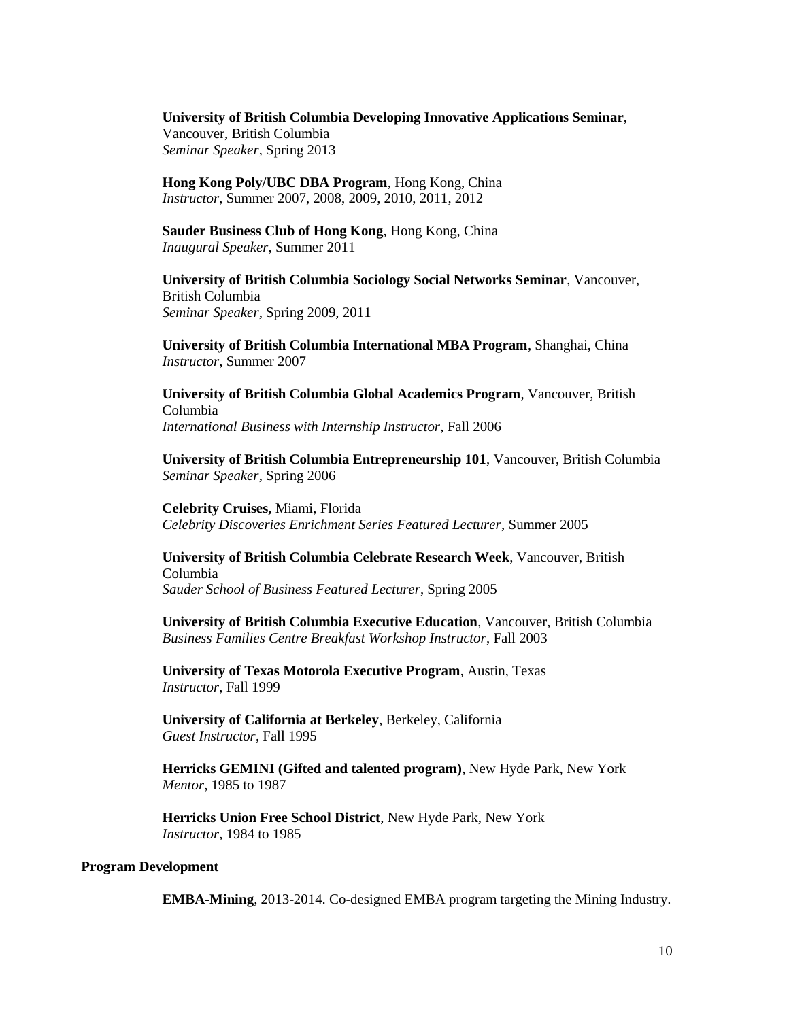**University of British Columbia Developing Innovative Applications Seminar**, Vancouver, British Columbia *Seminar Speaker*, Spring 2013

**Hong Kong Poly/UBC DBA Program**, Hong Kong, China *Instructor*, Summer 2007, 2008, 2009, 2010, 2011, 2012

**Sauder Business Club of Hong Kong**, Hong Kong, China *Inaugural Speaker*, Summer 2011

**University of British Columbia Sociology Social Networks Seminar**, Vancouver, British Columbia *Seminar Speaker*, Spring 2009, 2011

**University of British Columbia International MBA Program**, Shanghai, China *Instructor*, Summer 2007

**University of British Columbia Global Academics Program**, Vancouver, British Columbia *International Business with Internship Instructor*, Fall 2006

**University of British Columbia Entrepreneurship 101**, Vancouver, British Columbia *Seminar Speaker*, Spring 2006

**Celebrity Cruises,** Miami, Florida *Celebrity Discoveries Enrichment Series Featured Lecturer*, Summer 2005

**University of British Columbia Celebrate Research Week**, Vancouver, British Columbia *Sauder School of Business Featured Lecturer*, Spring 2005

**University of British Columbia Executive Education**, Vancouver, British Columbia *Business Families Centre Breakfast Workshop Instructor*, Fall 2003

**University of Texas Motorola Executive Program**, Austin, Texas *Instructor*, Fall 1999

**University of California at Berkeley**, Berkeley, California *Guest Instructor*, Fall 1995

**Herricks GEMINI (Gifted and talented program)**, New Hyde Park, New York *Mentor*, 1985 to 1987

**Herricks Union Free School District**, New Hyde Park, New York *Instructor*, 1984 to 1985

### **Program Development**

**EMBA-Mining**, 2013-2014. Co-designed EMBA program targeting the Mining Industry.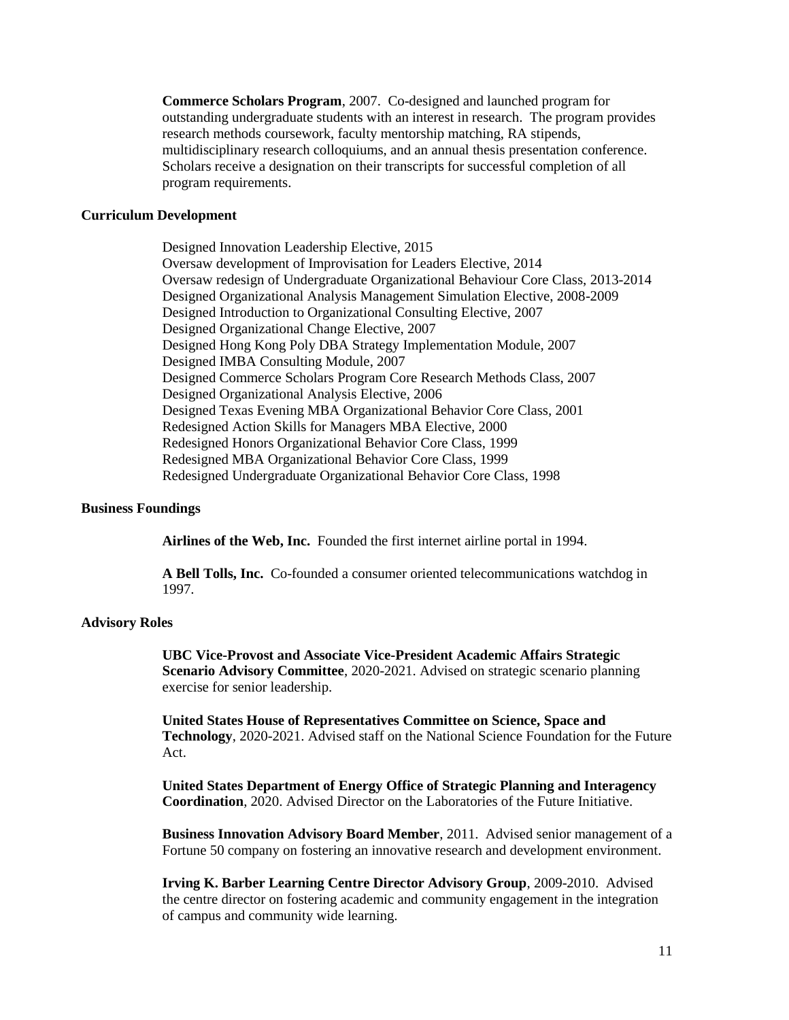**Commerce Scholars Program**, 2007. Co-designed and launched program for outstanding undergraduate students with an interest in research. The program provides research methods coursework, faculty mentorship matching, RA stipends, multidisciplinary research colloquiums, and an annual thesis presentation conference. Scholars receive a designation on their transcripts for successful completion of all program requirements.

### **Curriculum Development**

Designed Innovation Leadership Elective, 2015 Oversaw development of Improvisation for Leaders Elective, 2014 Oversaw redesign of Undergraduate Organizational Behaviour Core Class, 2013-2014 Designed Organizational Analysis Management Simulation Elective, 2008-2009 Designed Introduction to Organizational Consulting Elective, 2007 Designed Organizational Change Elective, 2007 Designed Hong Kong Poly DBA Strategy Implementation Module, 2007 Designed IMBA Consulting Module, 2007 Designed Commerce Scholars Program Core Research Methods Class, 2007 Designed Organizational Analysis Elective, 2006 Designed Texas Evening MBA Organizational Behavior Core Class, 2001 Redesigned Action Skills for Managers MBA Elective, 2000 Redesigned Honors Organizational Behavior Core Class, 1999 Redesigned MBA Organizational Behavior Core Class, 1999 Redesigned Undergraduate Organizational Behavior Core Class, 1998

#### **Business Foundings**

**Airlines of the Web, Inc.** Founded the first internet airline portal in 1994.

**A Bell Tolls, Inc.** Co-founded a consumer oriented telecommunications watchdog in 1997.

### **Advisory Roles**

**UBC Vice-Provost and Associate Vice-President Academic Affairs Strategic Scenario Advisory Committee**, 2020-2021. Advised on strategic scenario planning exercise for senior leadership.

**United States House of Representatives Committee on Science, Space and Technology**, 2020-2021. Advised staff on the National Science Foundation for the Future Act.

**United States Department of Energy Office of Strategic Planning and Interagency Coordination**, 2020. Advised Director on the Laboratories of the Future Initiative.

**Business Innovation Advisory Board Member**, 2011. Advised senior management of a Fortune 50 company on fostering an innovative research and development environment.

**Irving K. Barber Learning Centre Director Advisory Group**, 2009-2010. Advised the centre director on fostering academic and community engagement in the integration of campus and community wide learning.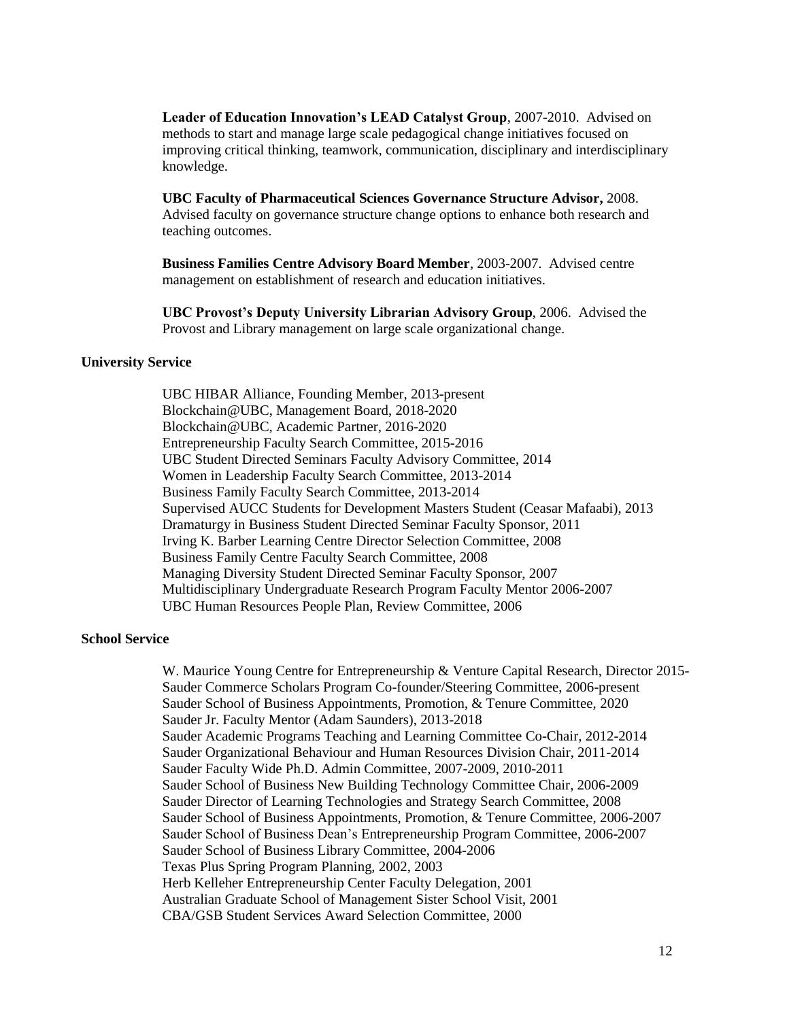**Leader of Education Innovation's LEAD Catalyst Group**, 2007-2010. Advised on methods to start and manage large scale pedagogical change initiatives focused on improving critical thinking, teamwork, communication, disciplinary and interdisciplinary knowledge.

**UBC Faculty of Pharmaceutical Sciences Governance Structure Advisor,** 2008. Advised faculty on governance structure change options to enhance both research and teaching outcomes.

**Business Families Centre Advisory Board Member**, 2003-2007. Advised centre management on establishment of research and education initiatives.

**UBC Provost's Deputy University Librarian Advisory Group**, 2006. Advised the Provost and Library management on large scale organizational change.

### **University Service**

UBC HIBAR Alliance, Founding Member, 2013-present Blockchain@UBC, Management Board, 2018-2020 Blockchain@UBC, Academic Partner, 2016-2020 Entrepreneurship Faculty Search Committee, 2015-2016 UBC Student Directed Seminars Faculty Advisory Committee, 2014 Women in Leadership Faculty Search Committee, 2013-2014 Business Family Faculty Search Committee, 2013-2014 Supervised AUCC Students for Development Masters Student (Ceasar Mafaabi), 2013 Dramaturgy in Business Student Directed Seminar Faculty Sponsor, 2011 Irving K. Barber Learning Centre Director Selection Committee, 2008 Business Family Centre Faculty Search Committee, 2008 Managing Diversity Student Directed Seminar Faculty Sponsor, 2007 Multidisciplinary Undergraduate Research Program Faculty Mentor 2006-2007 UBC Human Resources People Plan, Review Committee, 2006

## **School Service**

W. Maurice Young Centre for Entrepreneurship & Venture Capital Research, Director 2015- Sauder Commerce Scholars Program Co-founder/Steering Committee, 2006-present Sauder School of Business Appointments, Promotion, & Tenure Committee, 2020 Sauder Jr. Faculty Mentor (Adam Saunders), 2013-2018 Sauder Academic Programs Teaching and Learning Committee Co-Chair, 2012-2014 Sauder Organizational Behaviour and Human Resources Division Chair, 2011-2014 Sauder Faculty Wide Ph.D. Admin Committee, 2007-2009, 2010-2011 Sauder School of Business New Building Technology Committee Chair, 2006-2009 Sauder Director of Learning Technologies and Strategy Search Committee, 2008 Sauder School of Business Appointments, Promotion, & Tenure Committee, 2006-2007 Sauder School of Business Dean's Entrepreneurship Program Committee, 2006-2007 Sauder School of Business Library Committee, 2004-2006 Texas Plus Spring Program Planning, 2002, 2003 Herb Kelleher Entrepreneurship Center Faculty Delegation, 2001 Australian Graduate School of Management Sister School Visit, 2001 CBA/GSB Student Services Award Selection Committee, 2000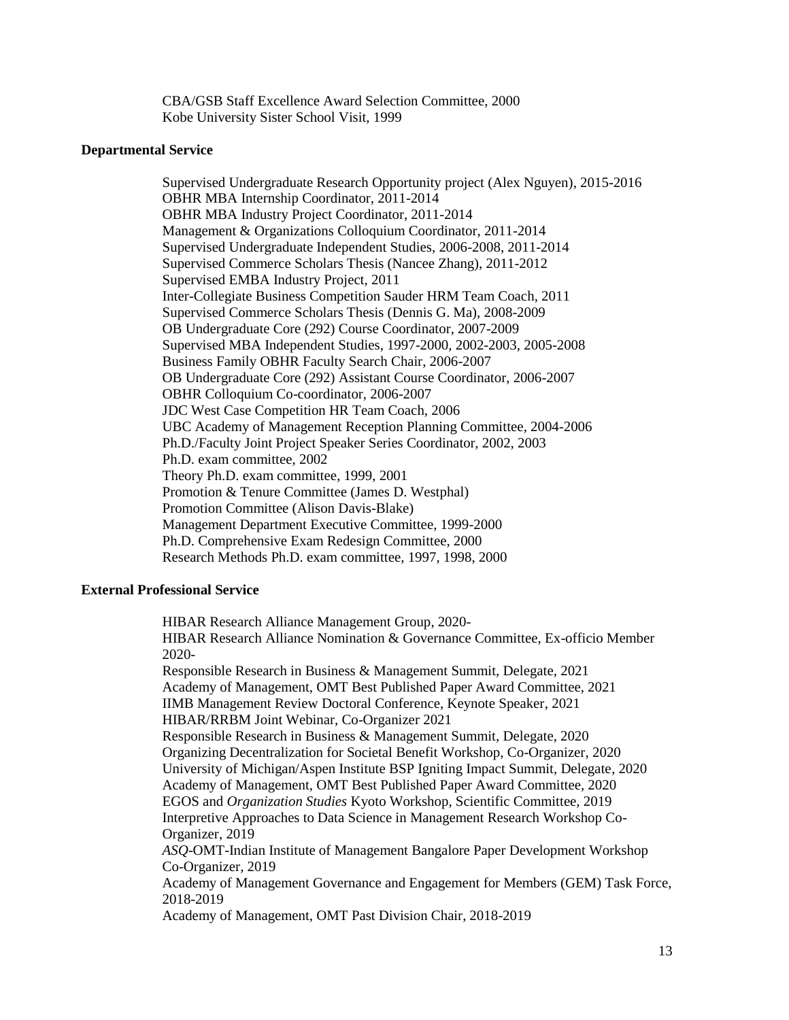CBA/GSB Staff Excellence Award Selection Committee, 2000 Kobe University Sister School Visit, 1999

### **Departmental Service**

Supervised Undergraduate Research Opportunity project (Alex Nguyen), 2015-2016 OBHR MBA Internship Coordinator, 2011-2014 OBHR MBA Industry Project Coordinator, 2011-2014 Management & Organizations Colloquium Coordinator, 2011-2014 Supervised Undergraduate Independent Studies, 2006-2008, 2011-2014 Supervised Commerce Scholars Thesis (Nancee Zhang), 2011-2012 Supervised EMBA Industry Project, 2011 Inter-Collegiate Business Competition Sauder HRM Team Coach, 2011 Supervised Commerce Scholars Thesis (Dennis G. Ma), 2008-2009 OB Undergraduate Core (292) Course Coordinator, 2007-2009 Supervised MBA Independent Studies, 1997-2000, 2002-2003, 2005-2008 Business Family OBHR Faculty Search Chair, 2006-2007 OB Undergraduate Core (292) Assistant Course Coordinator, 2006-2007 OBHR Colloquium Co-coordinator, 2006-2007 JDC West Case Competition HR Team Coach, 2006 UBC Academy of Management Reception Planning Committee, 2004-2006 Ph.D./Faculty Joint Project Speaker Series Coordinator, 2002, 2003 Ph.D. exam committee, 2002 Theory Ph.D. exam committee, 1999, 2001 Promotion & Tenure Committee (James D. Westphal) Promotion Committee (Alison Davis-Blake) Management Department Executive Committee, 1999-2000 Ph.D. Comprehensive Exam Redesign Committee, 2000 Research Methods Ph.D. exam committee, 1997, 1998, 2000

## **External Professional Service**

HIBAR Research Alliance Management Group, 2020- HIBAR Research Alliance Nomination & Governance Committee, Ex-officio Member 2020- Responsible Research in Business & Management Summit, Delegate, 2021 Academy of Management, OMT Best Published Paper Award Committee, 2021 IIMB Management Review Doctoral Conference, Keynote Speaker, 2021 HIBAR/RRBM Joint Webinar, Co-Organizer 2021 Responsible Research in Business & Management Summit, Delegate, 2020

Organizing Decentralization for Societal Benefit Workshop, Co-Organizer, 2020 University of Michigan/Aspen Institute BSP Igniting Impact Summit, Delegate, 2020 Academy of Management, OMT Best Published Paper Award Committee, 2020 EGOS and *Organization Studies* Kyoto Workshop, Scientific Committee, 2019 Interpretive Approaches to Data Science in Management Research Workshop Co-Organizer, 2019

*ASQ*-OMT-Indian Institute of Management Bangalore Paper Development Workshop Co-Organizer, 2019

Academy of Management Governance and Engagement for Members (GEM) Task Force, 2018-2019

Academy of Management, OMT Past Division Chair, 2018-2019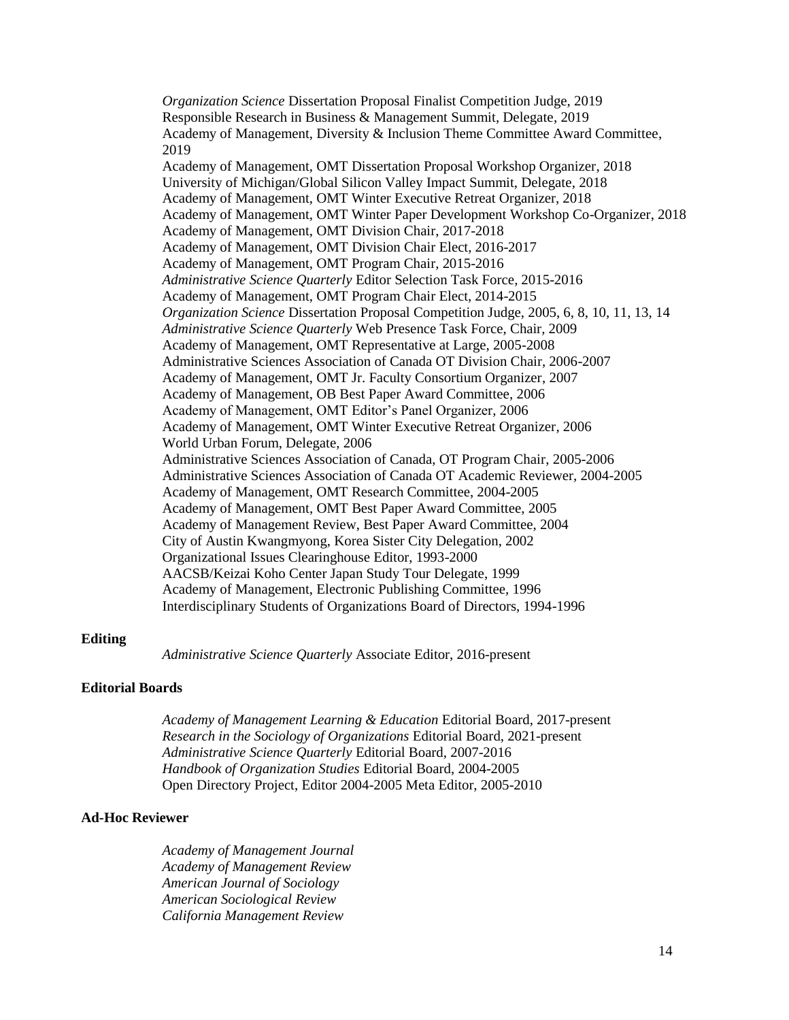*Organization Science* Dissertation Proposal Finalist Competition Judge, 2019 Responsible Research in Business & Management Summit, Delegate, 2019 Academy of Management, Diversity & Inclusion Theme Committee Award Committee, 2019 Academy of Management, OMT Dissertation Proposal Workshop Organizer, 2018 University of Michigan/Global Silicon Valley Impact Summit, Delegate, 2018 Academy of Management, OMT Winter Executive Retreat Organizer, 2018 Academy of Management, OMT Winter Paper Development Workshop Co-Organizer, 2018 Academy of Management, OMT Division Chair, 2017-2018 Academy of Management, OMT Division Chair Elect, 2016-2017 Academy of Management, OMT Program Chair, 2015-2016 *Administrative Science Quarterly* Editor Selection Task Force, 2015-2016 Academy of Management, OMT Program Chair Elect, 2014-2015 *Organization Science* Dissertation Proposal Competition Judge, 2005, 6, 8, 10, 11, 13, 14 *Administrative Science Quarterly* Web Presence Task Force, Chair, 2009 Academy of Management, OMT Representative at Large, 2005-2008 Administrative Sciences Association of Canada OT Division Chair, 2006-2007 Academy of Management, OMT Jr. Faculty Consortium Organizer, 2007 Academy of Management, OB Best Paper Award Committee, 2006 Academy of Management, OMT Editor's Panel Organizer, 2006 Academy of Management, OMT Winter Executive Retreat Organizer, 2006 World Urban Forum, Delegate, 2006 Administrative Sciences Association of Canada, OT Program Chair, 2005-2006 Administrative Sciences Association of Canada OT Academic Reviewer, 2004-2005 Academy of Management, OMT Research Committee, 2004-2005 Academy of Management, OMT Best Paper Award Committee, 2005 Academy of Management Review, Best Paper Award Committee, 2004 City of Austin Kwangmyong, Korea Sister City Delegation, 2002 Organizational Issues Clearinghouse Editor, 1993-2000 AACSB/Keizai Koho Center Japan Study Tour Delegate, 1999 Academy of Management, Electronic Publishing Committee, 1996 Interdisciplinary Students of Organizations Board of Directors, 1994-1996

#### **Editing**

*Administrative Science Quarterly* Associate Editor, 2016-present

## **Editorial Boards**

*Academy of Management Learning & Education* Editorial Board, 2017-present *Research in the Sociology of Organizations* Editorial Board, 2021-present *Administrative Science Quarterly* Editorial Board, 2007-2016 *Handbook of Organization Studies* Editorial Board, 2004-2005 Open Directory Project, Editor 2004-2005 Meta Editor, 2005-2010

### **Ad-Hoc Reviewer**

*Academy of Management Journal Academy of Management Review American Journal of Sociology American Sociological Review California Management Review*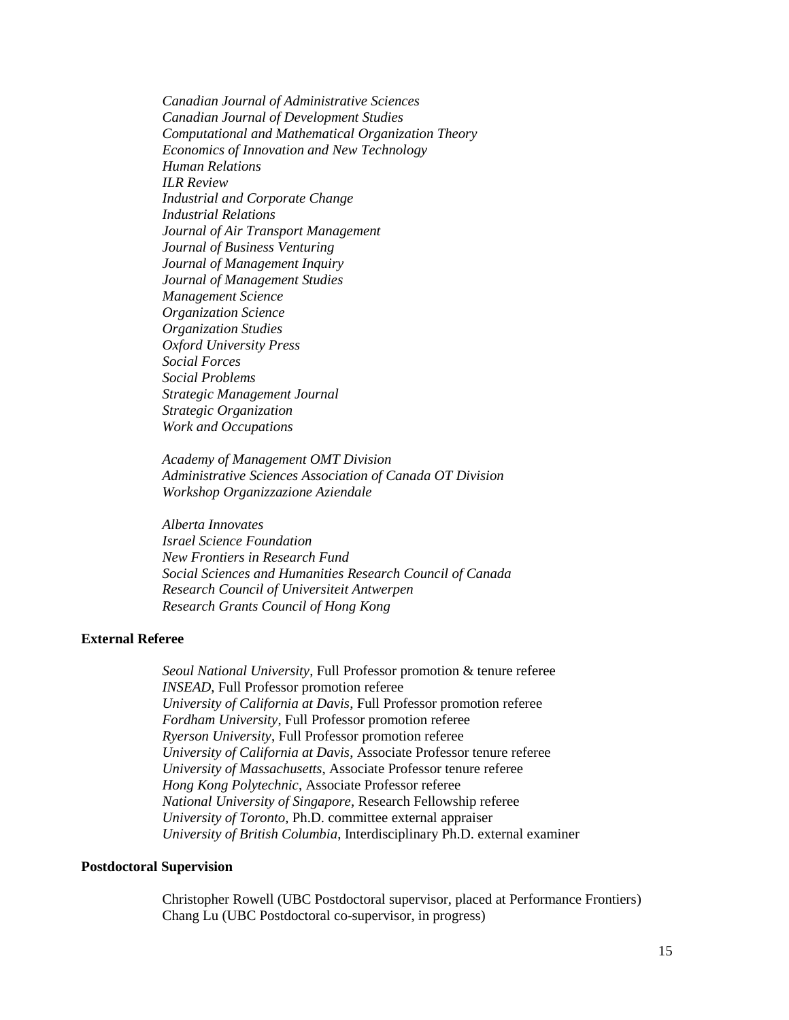*Canadian Journal of Administrative Sciences Canadian Journal of Development Studies Computational and Mathematical Organization Theory Economics of Innovation and New Technology Human Relations ILR Review Industrial and Corporate Change Industrial Relations Journal of Air Transport Management Journal of Business Venturing Journal of Management Inquiry Journal of Management Studies Management Science Organization Science Organization Studies Oxford University Press Social Forces Social Problems Strategic Management Journal Strategic Organization Work and Occupations*

*Academy of Management OMT Division Administrative Sciences Association of Canada OT Division Workshop Organizzazione Aziendale*

*Alberta Innovates Israel Science Foundation New Frontiers in Research Fund Social Sciences and Humanities Research Council of Canada Research Council of Universiteit Antwerpen Research Grants Council of Hong Kong*

## **External Referee**

*Seoul National University*, Full Professor promotion & tenure referee *INSEAD*, Full Professor promotion referee *University of California at Davis*, Full Professor promotion referee *Fordham University*, Full Professor promotion referee *Ryerson University*, Full Professor promotion referee *University of California at Davis*, Associate Professor tenure referee *University of Massachusetts*, Associate Professor tenure referee *Hong Kong Polytechnic*, Associate Professor referee *National University of Singapore*, Research Fellowship referee *University of Toronto,* Ph.D. committee external appraiser *University of British Columbia*, Interdisciplinary Ph.D. external examiner

### **Postdoctoral Supervision**

Christopher Rowell (UBC Postdoctoral supervisor, placed at Performance Frontiers) Chang Lu (UBC Postdoctoral co-supervisor, in progress)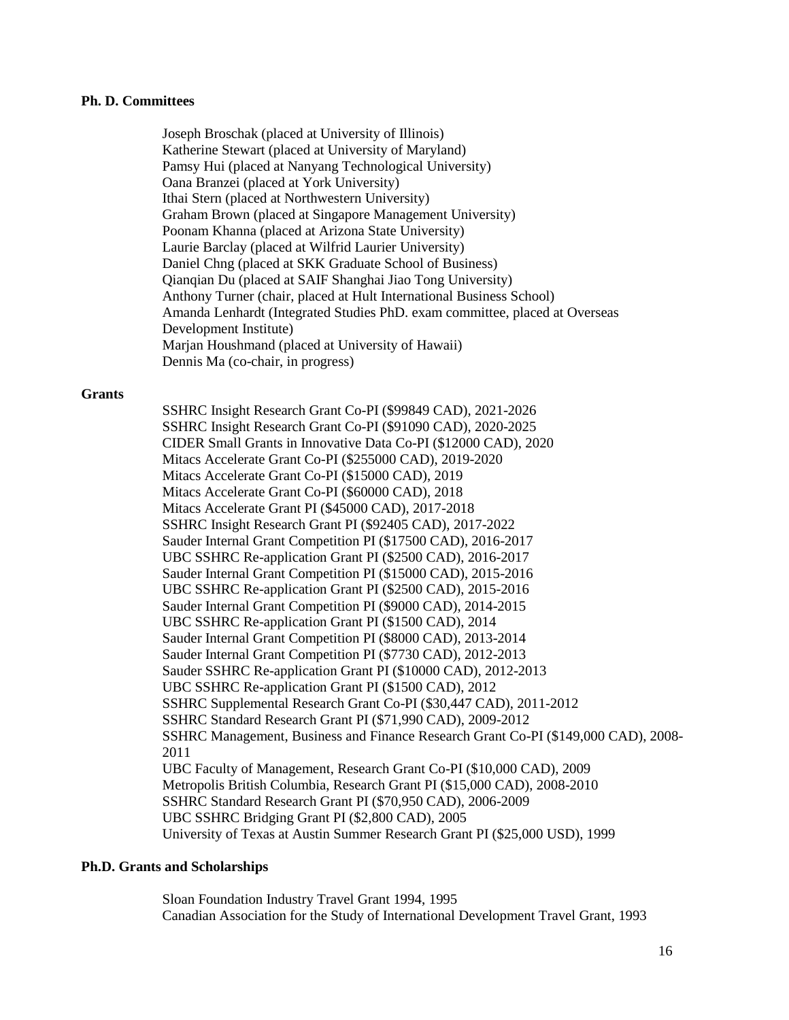#### **Ph. D. Committees**

Joseph Broschak (placed at University of Illinois) Katherine Stewart (placed at University of Maryland) Pamsy Hui (placed at Nanyang Technological University) Oana Branzei (placed at York University) Ithai Stern (placed at Northwestern University) Graham Brown (placed at Singapore Management University) Poonam Khanna (placed at Arizona State University) Laurie Barclay (placed at Wilfrid Laurier University) Daniel Chng (placed at SKK Graduate School of Business) Qianqian Du (placed at SAIF Shanghai Jiao Tong University) Anthony Turner (chair, placed at Hult International Business School) Amanda Lenhardt (Integrated Studies PhD. exam committee, placed at Overseas Development Institute) Marjan Houshmand (placed at University of Hawaii) Dennis Ma (co-chair, in progress)

#### **Grants**

SSHRC Insight Research Grant Co-PI (\$99849 CAD), 2021-2026 SSHRC Insight Research Grant Co-PI (\$91090 CAD), 2020-2025 CIDER Small Grants in Innovative Data Co-PI (\$12000 CAD), 2020 Mitacs Accelerate Grant Co-PI (\$255000 CAD), 2019-2020 Mitacs Accelerate Grant Co-PI (\$15000 CAD), 2019 Mitacs Accelerate Grant Co-PI (\$60000 CAD), 2018 Mitacs Accelerate Grant PI (\$45000 CAD), 2017-2018 SSHRC Insight Research Grant PI (\$92405 CAD), 2017-2022 Sauder Internal Grant Competition PI (\$17500 CAD), 2016-2017 UBC SSHRC Re-application Grant PI (\$2500 CAD), 2016-2017 Sauder Internal Grant Competition PI (\$15000 CAD), 2015-2016 UBC SSHRC Re-application Grant PI (\$2500 CAD), 2015-2016 Sauder Internal Grant Competition PI (\$9000 CAD), 2014-2015 UBC SSHRC Re-application Grant PI (\$1500 CAD), 2014 Sauder Internal Grant Competition PI (\$8000 CAD), 2013-2014 Sauder Internal Grant Competition PI (\$7730 CAD), 2012-2013 Sauder SSHRC Re-application Grant PI (\$10000 CAD), 2012-2013 UBC SSHRC Re-application Grant PI (\$1500 CAD), 2012 SSHRC Supplemental Research Grant Co-PI (\$30,447 CAD), 2011-2012 SSHRC Standard Research Grant PI (\$71,990 CAD), 2009-2012 SSHRC Management, Business and Finance Research Grant Co-PI (\$149,000 CAD), 2008- 2011 UBC Faculty of Management, Research Grant Co-PI (\$10,000 CAD), 2009 Metropolis British Columbia, Research Grant PI (\$15,000 CAD), 2008-2010 SSHRC Standard Research Grant PI (\$70,950 CAD), 2006-2009 UBC SSHRC Bridging Grant PI (\$2,800 CAD), 2005 University of Texas at Austin Summer Research Grant PI (\$25,000 USD), 1999

## **Ph.D. Grants and Scholarships**

Sloan Foundation Industry Travel Grant 1994, 1995 Canadian Association for the Study of International Development Travel Grant, 1993